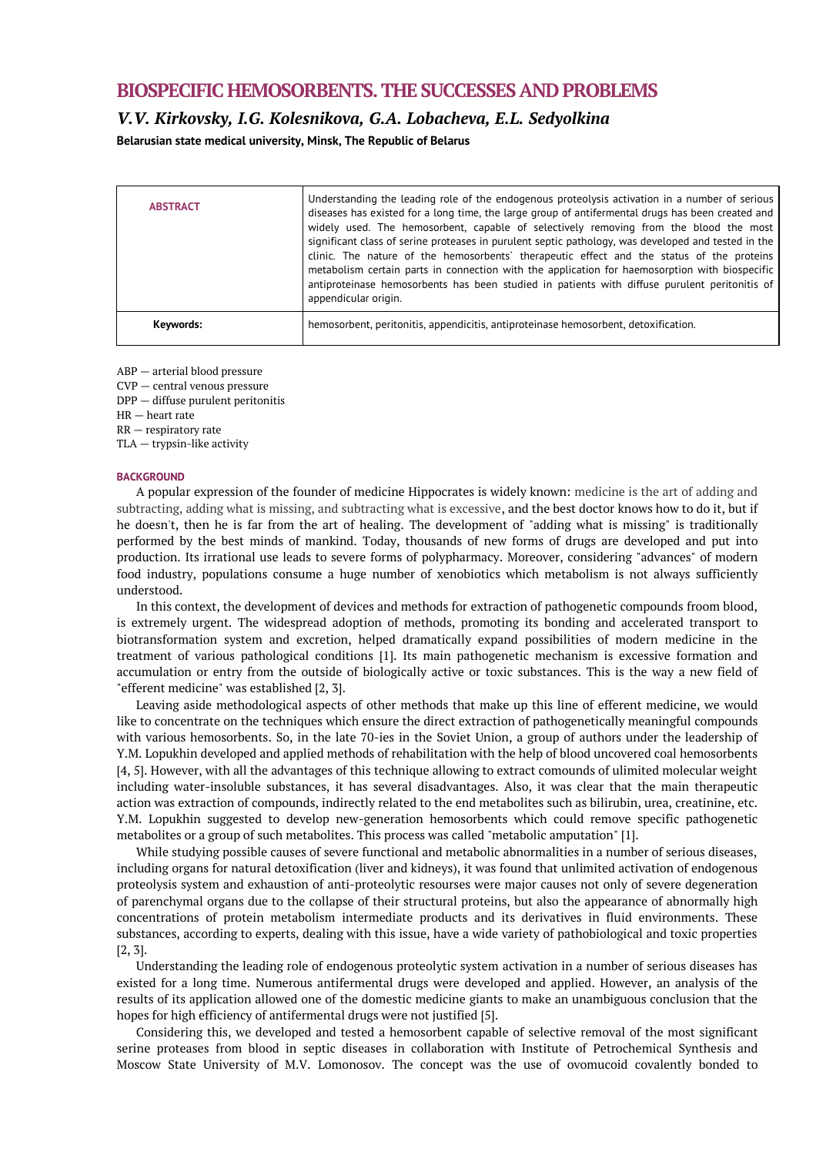# **BIOSPECIFIC HEMOSORBENTS. THE SUCCESSES AND PROBLEMS**

*V.V. Kirkovsky, I.G. Kolesnikova, G.A. Lobacheva, E.L. Sedyolkina* 

**Belarusian state medical university, Minsk, The Republic of Belarus**

| <b>ABSTRACT</b> | Understanding the leading role of the endogenous proteolysis activation in a number of serious<br>diseases has existed for a long time, the large group of antifermental drugs has been created and<br>widely used. The hemosorbent, capable of selectively removing from the blood the most<br>significant class of serine proteases in purulent septic pathology, was developed and tested in the<br>clinic. The nature of the hemosorbents' therapeutic effect and the status of the proteins<br>metabolism certain parts in connection with the application for haemosorption with biospecific<br>antiproteinase hemosorbents has been studied in patients with diffuse purulent peritonitis of<br>appendicular origin. |
|-----------------|-----------------------------------------------------------------------------------------------------------------------------------------------------------------------------------------------------------------------------------------------------------------------------------------------------------------------------------------------------------------------------------------------------------------------------------------------------------------------------------------------------------------------------------------------------------------------------------------------------------------------------------------------------------------------------------------------------------------------------|
| Keywords:       | hemosorbent, peritonitis, appendicitis, antiproteinase hemosorbent, detoxification.                                                                                                                                                                                                                                                                                                                                                                                                                                                                                                                                                                                                                                         |

ABP — arterial blood pressure

CVP — central venous pressure

DPP — diffuse purulent peritonitis

HR — heart rate

RR — respiratory rate

TLA — trypsin-like activity

### **BACKGROUND**

A popular expression of the founder of medicine Hippocrates is widely known: medicine is the art of adding and subtracting, adding what is missing, and subtracting what is excessive, and the best doctor knows how to do it, but if he doesn't, then he is far from the art of healing. The development of "adding what is missing" is traditionally performed by the best minds of mankind. Today, thousands of new forms of drugs are developed and put into production. Its irrational use leads to severe forms of polypharmacy. Moreover, considering "advances" of modern food industry, populations consume a huge number of xenobiotics which metabolism is not always sufficiently understood.

In this context, the development of devices and methods for extraction of pathogenetic compounds froom blood, is extremely urgent. The widespread adoption of methods, promoting its bonding and accelerated transport to biotransformation system and excretion, helped dramatically expand possibilities of modern medicine in the treatment of various pathological conditions [1]. Its main pathogenetic mechanism is excessive formation and accumulation or entry from the outside of biologically active or toxic substances. This is the way a new field of "efferent medicine" was established [2, 3].

Leaving aside methodological aspects of other methods that make up this line of efferent medicine, we would like to concentrate on the techniques which ensure the direct extraction of pathogenetically meaningful compounds with various hemosorbents. So, in the late 70-ies in the Soviet Union, a group of authors under the leadership of Y.M. Lopukhin developed and applied methods of rehabilitation with the help of blood uncovered coal hemosorbents [4, 5]. However, with all the advantages of this technique allowing to extract comounds of ulimited molecular weight including water-insoluble substances, it has several disadvantages. Also, it was clear that the main therapeutic action was extraction of compounds, indirectly related to the end metabolites such as bilirubin, urea, creatinine, etc. Y.M. Lopukhin suggested to develop new-generation hemosorbents which could remove specific pathogenetic metabolites or a group of such metabolites. This process was called "metabolic amputation" [1].

While studying possible causes of severe functional and metabolic abnormalities in a number of serious diseases, including organs for natural detoxification (liver and kidneys), it was found that unlimited activation of endogenous proteolysis system and exhaustion of anti-proteolytic resourses were major causes not only of severe degeneration of parenchymal organs due to the collapse of their structural proteins, but also the appearance of abnormally high concentrations of protein metabolism intermediate products and its derivatives in fluid environments. These substances, according to experts, dealing with this issue, have a wide variety of pathobiological and toxic properties [2, 3].

Understanding the leading role of endogenous proteolytic system activation in a number of serious diseases has existed for a long time. Numerous antifermental drugs were developed and applied. However, an analysis of the results of its application allowed one of the domestic medicine giants to make an unambiguous conclusion that the hopes for high efficiency of antifermental drugs were not justified [5].

Considering this, we developed and tested a hemosorbent capable of selective removal of the most significant serine proteases from blood in septic diseases in collaboration with Institute of Petrochemical Synthesis and Moscow State University of M.V. Lomonosov. The concept was the use of ovomucoid covalently bonded to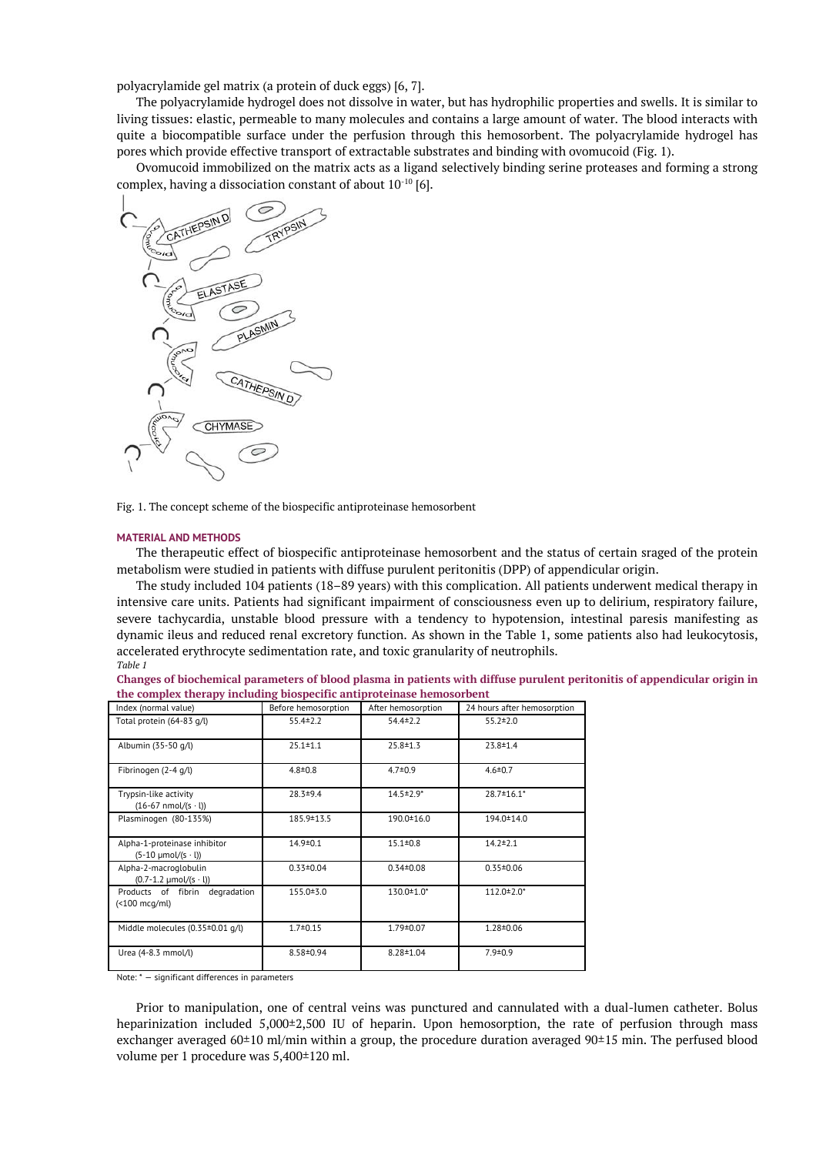polyacrylamide gel matrix (a protein of duck eggs) [6, 7].

The polyacrylamide hydrogel does not dissolve in water, but has hydrophilic properties and swells. It is similar to living tissues: elastic, permeable to many molecules and contains a large amount of water. The blood interacts with quite a biocompatible surface under the perfusion through this hemosorbent. The polyacrylamide hydrogel has pores which provide effective transport of extractable substrates and binding with ovomucoid (Fig. 1).

Ovomucoid immobilized on the matrix acts as a ligand selectively binding serine proteases and forming a strong complex, having a dissociation constant of about 10-10 [6].



Fig. 1. The concept scheme of the biospecific antiproteinase hemosorbent

#### **MATERIAL AND METHODS**

The therapeutic effect of biospecific antiproteinase hemosorbent and the status of certain sraged of the protein metabolism were studied in patients with diffuse purulent peritonitis (DPP) of appendicular origin.

The study included 104 patients (18–89 years) with this complication. All patients underwent medical therapy in intensive care units. Patients had significant impairment of consciousness even up to delirium, respiratory failure, severe tachycardia, unstable blood pressure with a tendency to hypotension, intestinal paresis manifesting as dynamic ileus and reduced renal excretory function. As shown in the Table 1, some patients also had leukocytosis, accelerated erythrocyte sedimentation rate, and toxic granularity of neutrophils. *Table 1*

**Changes of biochemical parameters of blood plasma in patients with diffuse purulent peritonitis of appendicular origin in the complex therapy including biospecific antiproteinase hemosorbent**

| Index (normal value)                                         | Before hemosorption | After hemosorption          | 24 hours after hemosorption |
|--------------------------------------------------------------|---------------------|-----------------------------|-----------------------------|
| Total protein (64-83 g/l)                                    | $55.4 \pm 2.2$      | $54.4 \pm 2.2$              | $55.2 \pm 2.0$              |
| Albumin (35-50 g/l)                                          | $25.1 \pm 1.1$      | $25.8 \pm 1.3$              | $23.8 \pm 1.4$              |
| Fibrinogen (2-4 g/l)                                         | $4.8 \pm 0.8$       | $4.7 \pm 0.9$               | $4.6 \pm 0.7$               |
| Trypsin-like activity<br>$(16-67 \text{ nmol/(s} \cdot l))$  | $28.3 + 9.4$        | $14.5 \pm 2.9$ <sup>*</sup> | 28.7±16.1*                  |
| Plasminogen (80-135%)                                        | 185.9 ± 13.5        | 190.0 ± 16.0                | 194.0 ± 14.0                |
| Alpha-1-proteinase inhibitor<br>$(5-10 \mu mol/(s \cdot l))$ | $14.9 \pm 0.1$      | $15.1 \pm 0.8$              | $14.2 \pm 2.1$              |
| Alpha-2-macroglobulin<br>$(0.7 - 1.2 \mu mol/(s \cdot l))$   | $0.33 \pm 0.04$     | $0.34 \pm 0.08$             | $0.35 \pm 0.06$             |
| Products of fibrin degradation<br>$($ $100 \text{ mcq/ml})$  | $155.0 + 3.0$       | 130.0 $\pm$ 1.0*            | $112.0 \pm 2.0$ *           |
| Middle molecules (0.35±0.01 g/l)                             | $1.7 \pm 0.15$      | 1.79±0.07                   | 1.28±0.06                   |
| Urea (4-8.3 mmol/l)                                          | 8.58±0.94           | $8.28 \pm 1.04$             | $7.9 \pm 0.9$               |

Note: \* — significant differences in parameters

Prior to manipulation, one of central veins was punctured and cannulated with a dual-lumen catheter. Bolus heparinization included 5,000±2,500 IU of heparin. Upon hemosorption, the rate of perfusion through mass exchanger averaged 60±10 ml/min within a group, the procedure duration averaged 90±15 min. The perfused blood volume per 1 procedure was 5,400±120 ml.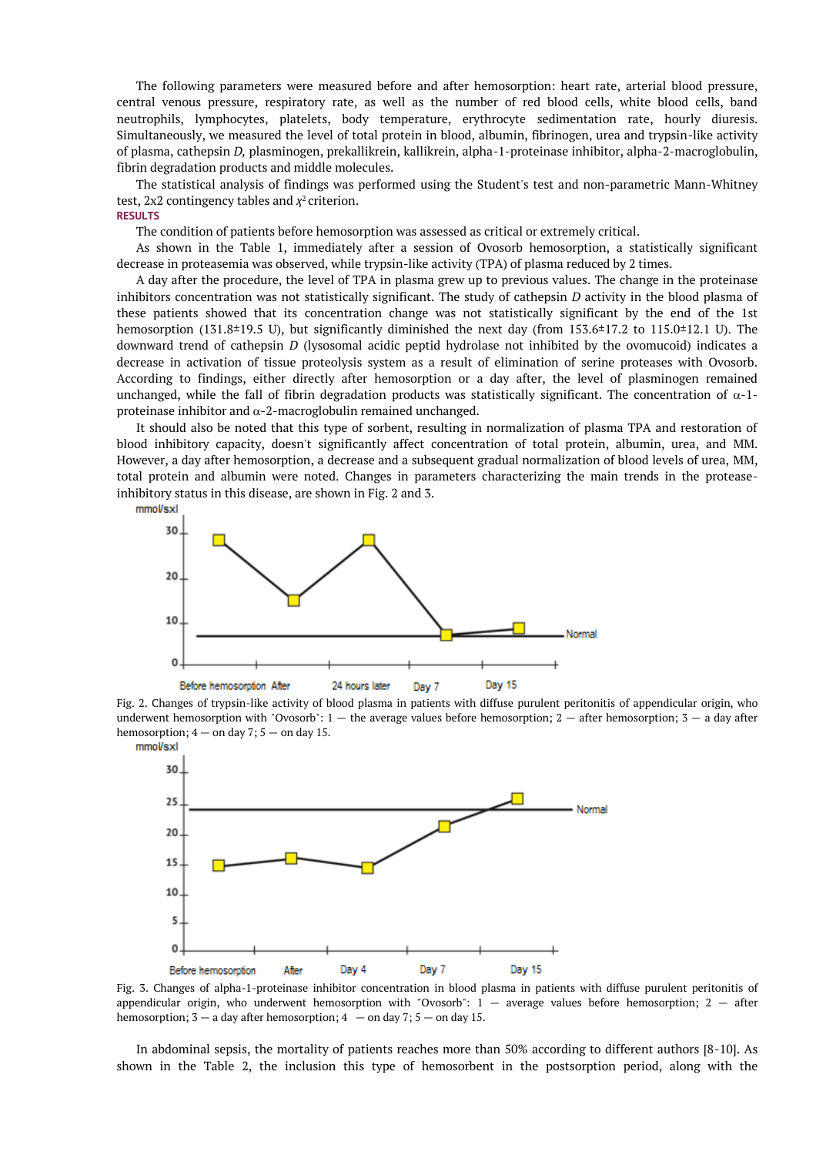The following parameters were measured before and after hemosorption: heart rate, arterial blood pressure, central venous pressure, respiratory rate, as well as the number of red blood cells, white blood cells, band neutrophils, lymphocytes, platelets, body temperature, erythrocyte sedimentation rate, hourly diuresis. Simultaneously, we measured the level of total protein in blood, albumin, fibrinogen, urea and trypsin-like activity of plasma, cathepsin *D,* plasminogen, prekallikrein, kallikrein, alpha-1-proteinase inhibitor, alpha-2-macroglobulin, fibrin degradation products and middle molecules.

The statistical analysis of findings was performed using the Student's test and non-parametric Mann-Whitney test,  $2x2$  contingency tables and  $\chi^2$  criterion.

# **RESULTS**

The condition of patients before hemosorption was assessed as critical or extremely critical.

As shown in the Table 1, immediately after a session of Ovosorb hemosorption, a statistically significant decrease in proteasemia was observed, while trypsin-like activity (TPA) of plasma reduced by 2 times.

A day after the procedure, the level of TPA in plasma grew up to previous values. The change in the proteinase inhibitors concentration was not statistically significant. The study of cathepsin *D* activity in the blood plasma of these patients showed that its concentration change was not statistically significant by the end of the 1st hemosorption (131.8±19.5 U), but significantly diminished the next day (from 153.6±17.2 to 115.0±12.1 U). The downward trend of cathepsin *D* (lysosomal acidic peptid hydrolase not inhibited by the ovomucoid) indicates a decrease in activation of tissue proteolysis system as a result of elimination of serine proteases with Ovosorb. According to findings, either directly after hemosorption or a day after, the level of plasminogen remained unchanged, while the fall of fibrin degradation products was statistically significant. The concentration of  $\alpha$ -1proteinase inhibitor and  $\alpha$ -2-macroglobulin remained unchanged.

It should also be noted that this type of sorbent, resulting in normalization of plasma TPA and restoration of blood inhibitory capacity, doesn't significantly affect concentration of total protein, albumin, urea, and MM. However, a day after hemosorption, a decrease and a subsequent gradual normalization of blood levels of urea, MM, total protein and albumin were noted. Changes in parameters characterizing the main trends in the proteaseinhibitory status in this disease, are shown in Fig. 2 and 3.



Fig. 2. Changes of trypsin-like activity of blood plasma in patients with diffuse purulent peritonitis of appendicular origin, who underwent hemosorption with "Ovosorb":  $1 -$  the average values before hemosorption;  $2 -$  after hemosorption;  $3 -$  a day after hemosorption;  $4 -$  on day 7;  $5 -$  on day 15. mmol/sxl



Fig. 3. Changes of alpha-1-proteinase inhibitor concentration in blood plasma in patients with diffuse purulent peritonitis of appendicular origin, who underwent hemosorption with "Ovosorb":  $1 -$  average values before hemosorption;  $2 -$  after hemosorption;  $3 - a$  day after hemosorption;  $4 - on$  day  $7$ ;  $5 - on$  day 15.

In abdominal sepsis, the mortality of patients reaches more than 50% according to different authors [8-10]. As shown in the Table 2, the inclusion this type of hemosorbent in the postsorption period, along with the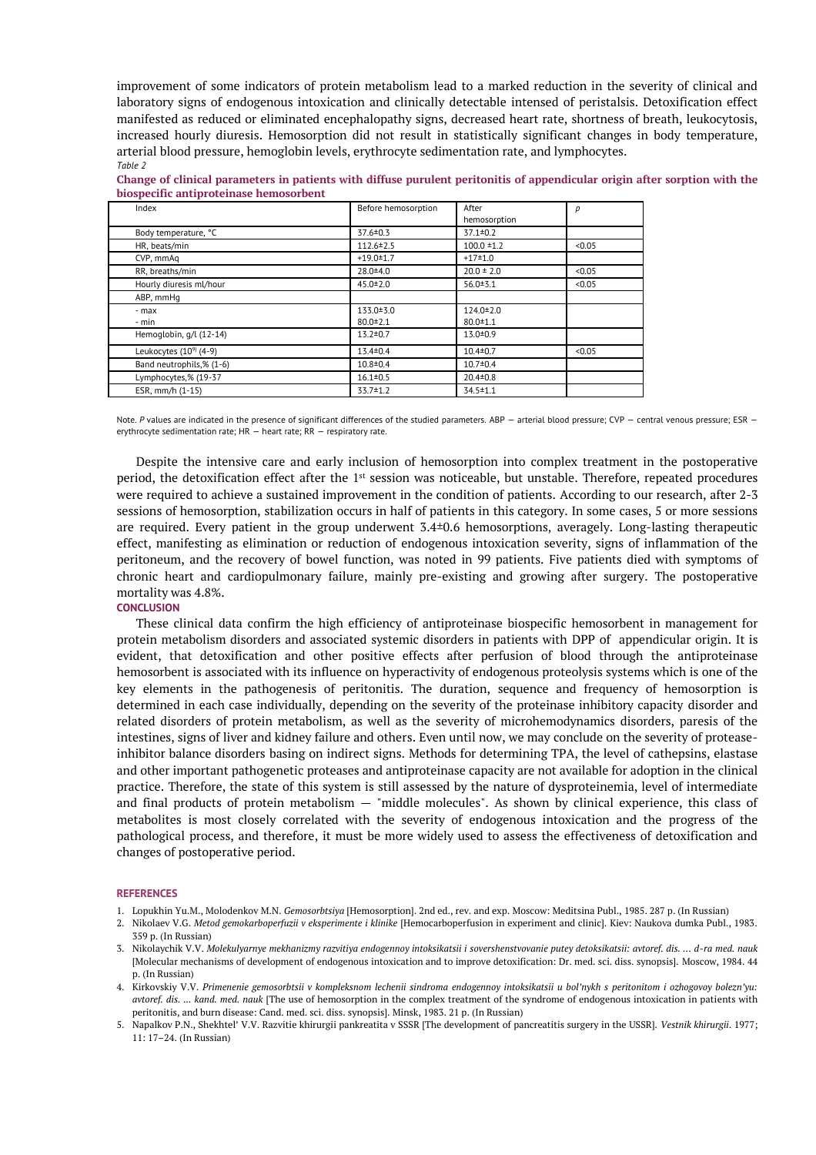improvement of some indicators of protein metabolism lead to a marked reduction in the severity of clinical and laboratory signs of endogenous intoxication and clinically detectable intensed of peristalsis. Detoxification effect manifested as reduced or eliminated encephalopathy signs, decreased heart rate, shortness of breath, leukocytosis, increased hourly diuresis. Hemosorption did not result in statistically significant changes in body temperature, arterial blood pressure, hemoglobin levels, erythrocyte sedimentation rate, and lymphocytes. *Table 2*

| Change of clinical parameters in patients with diffuse purulent peritonitis of appendicular origin after sorption with the |                     |              |  |
|----------------------------------------------------------------------------------------------------------------------------|---------------------|--------------|--|
| biospecific antiproteinase hemosorbent                                                                                     |                     |              |  |
| Indev                                                                                                                      | Refore hemosorntion | <b>After</b> |  |

| Index                              | Before hemosorption | After           | р      |
|------------------------------------|---------------------|-----------------|--------|
|                                    |                     | hemosorption    |        |
| Body temperature, °C               | $37.6 \pm 0.3$      | $37.1 \pm 0.2$  |        |
| HR, beats/min                      | $112.6 \pm 2.5$     | $100.0 = 1.2$   | < 0.05 |
| CVP, mmAq                          | $+19.0 \pm 1.7$     | $+17+1.0$       |        |
| RR, breaths/min                    | $28.0 + 4.0$        | $20.0 \pm 2.0$  | < 0.05 |
| Hourly diuresis ml/hour            | $45.0 \pm 2.0$      | $56.0 + 3.1$    | < 0.05 |
| ABP, mmHq                          |                     |                 |        |
| - max                              | 133.0 ± 3.0         | $124.0 \pm 2.0$ |        |
| - min                              | $80.0 \pm 2.1$      | $80.0 \pm 1.1$  |        |
| Hemoglobin, g/l (12-14)            | $13.2 \pm 0.7$      | $13.0 \pm 0.9$  |        |
| Leukocytes (10 <sup>9)</sup> (4-9) | $13.4 \pm 0.4$      | $10.4 \pm 0.7$  | < 0.05 |
| Band neutrophils,% (1-6)           | $10.8 + 0.4$        | $10.7 \pm 0.4$  |        |
| Lymphocytes,% (19-37               | $16.1 \pm 0.5$      | $20.4 \pm 0.8$  |        |
| ESR, mm/h (1-15)                   | $33.7 \pm 1.2$      | $34.5 \pm 1.1$  |        |

Note. P values are indicated in the presence of significant differences of the studied parameters. ABP - arterial blood pressure; CVP - central venous pressure; ESR erythrocyte sedimentation rate; HR — heart rate; RR — respiratory rate.

Despite the intensive care and early inclusion of hemosorption into complex treatment in the postoperative period, the detoxification effect after the 1<sup>st</sup> session was noticeable, but unstable. Therefore, repeated procedures were required to achieve a sustained improvement in the condition of patients. According to our research, after 2-3 sessions of hemosorption, stabilization occurs in half of patients in this category. In some cases, 5 or more sessions are required. Every patient in the group underwent 3.4±0.6 hemosorptions, averagely. Long-lasting therapeutic effect, manifesting as elimination or reduction of endogenous intoxication severity, signs of inflammation of the peritoneum, and the recovery of bowel function, was noted in 99 patients. Five patients died with symptoms of chronic heart and cardiopulmonary failure, mainly pre-existing and growing after surgery. The postoperative mortality was 4.8%.

## **CONCLUSION**

These clinical data confirm the high efficiency of antiproteinase biospecific hemosorbent in management for protein metabolism disorders and associated systemic disorders in patients with DPP of appendicular origin. It is evident, that detoxification and other positive effects after perfusion of blood through the antiproteinase hemosorbent is associated with its influence on hyperactivity of endogenous proteolysis systems which is one of the key elements in the pathogenesis of peritonitis. The duration, sequence and frequency of hemosorption is determined in each case individually, depending on the severity of the proteinase inhibitory capacity disorder and related disorders of protein metabolism, as well as the severity of microhemodynamics disorders, paresis of the intestines, signs of liver and kidney failure and others. Even until now, we may conclude on the severity of proteaseinhibitor balance disorders basing on indirect signs. Methods for determining TPA, the level of cathepsins, elastase and other important pathogenetic proteases and antiproteinase capacity are not available for adoption in the clinical practice. Therefore, the state of this system is still assessed by the nature of dysproteinemia, level of intermediate and final products of protein metabolism — "middle molecules". As shown by clinical experience, this class of metabolites is most closely correlated with the severity of endogenous intoxication and the progress of the pathological process, and therefore, it must be more widely used to assess the effectiveness of detoxification and changes of postoperative period.

#### **REFERENCES**

- 1. Lopukhin Yu.M., Molodenkov M.N. *Gemosorbtsiya* [Hemosorption]. 2nd ed., rev. and exp. Moscow: Meditsina Publ., 1985. 287 p. (In Russian)
- 2. Nikolaev V.G. *Metod gemokarboperfuzii v eksperimente i klinike* [Hemocarboperfusion in experiment and clinic]. Kiev: Naukova dumka Publ., 1983. 359 p. (In Russian)
- 3. Nikolaychik V.V. *Molekulyarnye mekhanizmy razvitiya endogennoy intoksikatsii i sovershenstvovanie putey detoksikatsii: avtoref. dis. … d-ra med. nauk* [Molecular mechanisms of development of endogenous intoxication and to improve detoxification: Dr. med. sci. diss. synopsis]. Moscow, 1984. 44 p. (In Russian)
- 4. Kirkovskiy V.V. *Primenenie gemosorbtsii v kompleksnom lechenii sindroma endogennoy intoksikatsii u bol'nykh s peritonitom i ozhogovoy bolezn'yu: avtoref. dis. ... kand. med. nauk* [The use of hemosorption in the complex treatment of the syndrome of endogenous intoxication in patients with peritonitis, and burn disease: Cand. med. sci. diss. synopsis]. Minsk, 1983. 21 p. (In Russian)
- 5. Napalkov P.N., Shekhtel' V.V. Razvitie khirurgii pankreatita v SSSR [The development of pancreatitis surgery in the USSR]. *Vestnik khirurgii*. 1977; 11: 17–24. (In Russian)